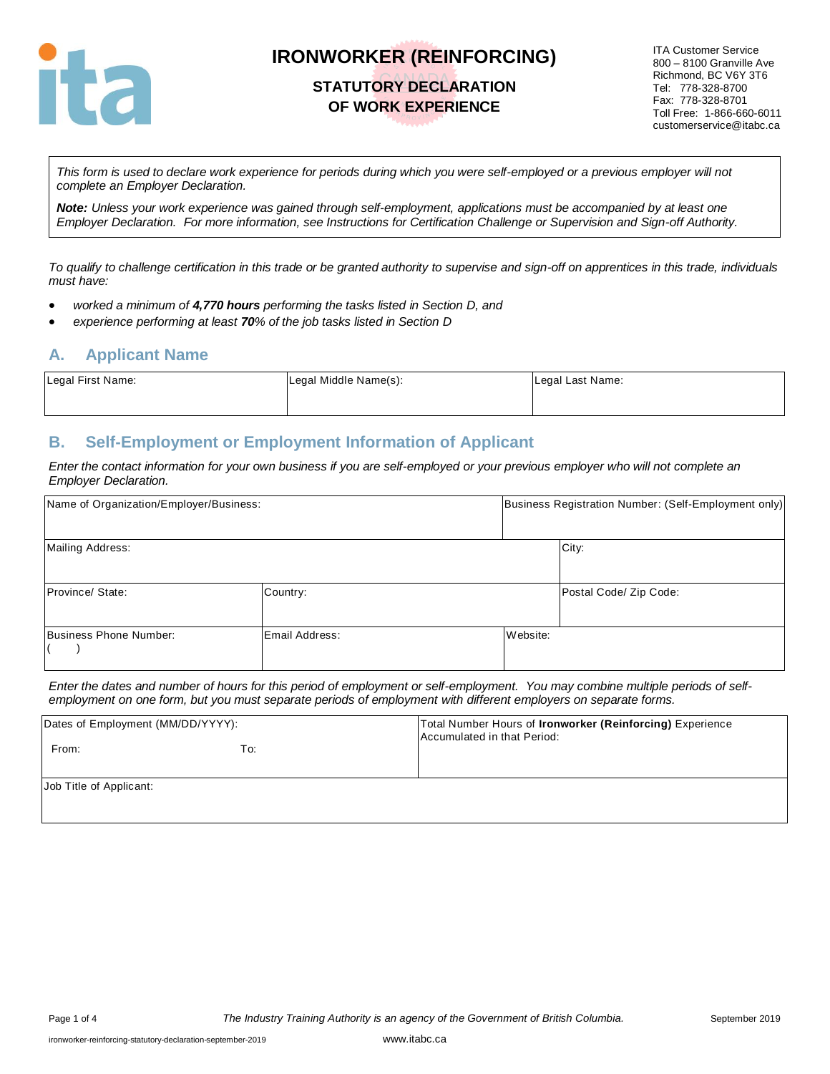

# **STATUTORY DECLARATION OF WORK EXPERIENCE**

ITA Customer Service 800 – 8100 Granville Ave Richmond, BC V6Y 3T6 Tel: 778-328-8700 Fax: 778-328-8701 Toll Free: 1-866-660-6011 customerservice@itabc.ca

*This form is used to declare work experience for periods during which you were self-employed or a previous employer will not complete an Employer Declaration.* 

*Note: Unless your work experience was gained through self-employment, applications must be accompanied by at least one Employer Declaration. For more information, see Instructions for Certification Challenge or Supervision and Sign-off Authority.*

*To qualify to challenge certification in this trade or be granted authority to supervise and sign-off on apprentices in this trade, individuals must have:*

- *worked a minimum of 4,770 hours performing the tasks listed in Section D, and*
- *experience performing at least 70% of the job tasks listed in Section D*

#### **A. Applicant Name**

| Legal First Name: | Legal Middle Name(s): | Legal Last Name: |
|-------------------|-----------------------|------------------|
|                   |                       |                  |

### **B. Self-Employment or Employment Information of Applicant**

*Enter the contact information for your own business if you are self-employed or your previous employer who will not complete an Employer Declaration.*

| Name of Organization/Employer/Business: |                | Business Registration Number: (Self-Employment only) |                        |  |
|-----------------------------------------|----------------|------------------------------------------------------|------------------------|--|
| Mailing Address:                        |                | City:                                                |                        |  |
| Province/ State:                        | Country:       |                                                      | Postal Code/ Zip Code: |  |
| Business Phone Number:                  | Email Address: | Website:                                             |                        |  |

*Enter the dates and number of hours for this period of employment or self-employment. You may combine multiple periods of selfemployment on one form, but you must separate periods of employment with different employers on separate forms.*

| Dates of Employment (MM/DD/YYYY): |     | Total Number Hours of Ironworker (Reinforcing) Experience<br>Accumulated in that Period: |
|-----------------------------------|-----|------------------------------------------------------------------------------------------|
| From:                             | To: |                                                                                          |
| Job Title of Applicant:           |     |                                                                                          |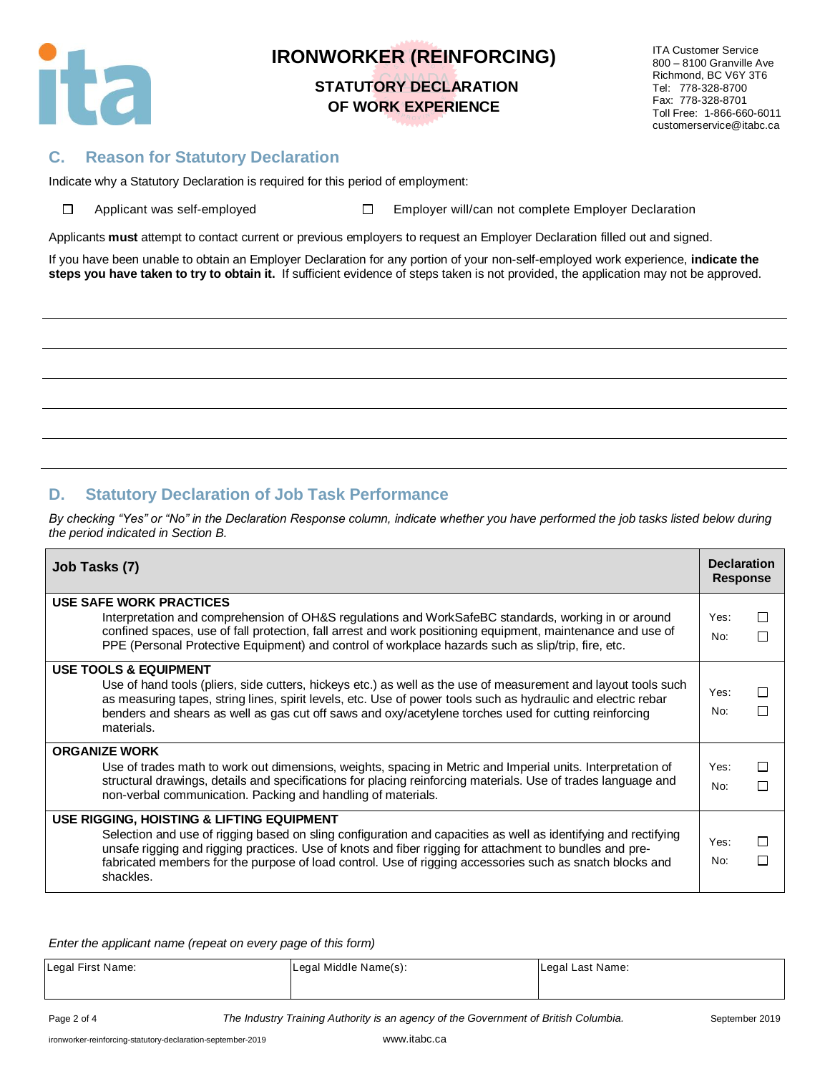

# **STATUTORY DECLARATION OF WORK EXPERIENCE**

ITA Customer Service 800 – 8100 Granville Ave Richmond, BC V6Y 3T6 Tel: 778-328-8700 Fax: 778-328-8701 Toll Free: 1-866-660-6011 customerservice@itabc.ca

### **C. Reason for Statutory Declaration**

Indicate why a Statutory Declaration is required for this period of employment:

| □ | Applicant was self-emp |  |  |
|---|------------------------|--|--|
|   |                        |  |  |

Applicant Moved Employer will/can not complete Employer Declaration

Applicants **must** attempt to contact current or previous employers to request an Employer Declaration filled out and signed.

If you have been unable to obtain an Employer Declaration for any portion of your non-self-employed work experience, **indicate the steps you have taken to try to obtain it.** If sufficient evidence of steps taken is not provided, the application may not be approved.

### **D. Statutory Declaration of Job Task Performance**

*By checking "Yes" or "No" in the Declaration Response column, indicate whether you have performed the job tasks listed below during the period indicated in Section B.*

| Job Tasks (7)                                                                                                                                                                                                                                                                                                                                                                                   |             |        |  |  |  |  |
|-------------------------------------------------------------------------------------------------------------------------------------------------------------------------------------------------------------------------------------------------------------------------------------------------------------------------------------------------------------------------------------------------|-------------|--------|--|--|--|--|
| USE SAFE WORK PRACTICES<br>Interpretation and comprehension of OH&S regulations and WorkSafeBC standards, working in or around<br>confined spaces, use of fall protection, fall arrest and work positioning equipment, maintenance and use of<br>PPE (Personal Protective Equipment) and control of workplace hazards such as slip/trip, fire, etc.                                             | Yes:<br>No: | П<br>П |  |  |  |  |
| <b>USE TOOLS &amp; EQUIPMENT</b><br>Use of hand tools (pliers, side cutters, hickeys etc.) as well as the use of measurement and layout tools such<br>as measuring tapes, string lines, spirit levels, etc. Use of power tools such as hydraulic and electric rebar<br>benders and shears as well as gas cut off saws and oxy/acetylene torches used for cutting reinforcing<br>materials.      | Yes:<br>No: | П<br>П |  |  |  |  |
| <b>ORGANIZE WORK</b><br>Use of trades math to work out dimensions, weights, spacing in Metric and Imperial units. Interpretation of<br>structural drawings, details and specifications for placing reinforcing materials. Use of trades language and<br>non-verbal communication. Packing and handling of materials.                                                                            | Yes:<br>No: | П<br>П |  |  |  |  |
| USE RIGGING, HOISTING & LIFTING EQUIPMENT<br>Selection and use of rigging based on sling configuration and capacities as well as identifying and rectifying<br>unsafe rigging and rigging practices. Use of knots and fiber rigging for attachment to bundles and pre-<br>fabricated members for the purpose of load control. Use of rigging accessories such as snatch blocks and<br>shackles. | Yes:<br>No: | П<br>П |  |  |  |  |

*Enter the applicant name (repeat on every page of this form)*

| Legal First Name: | Legal Middle Name(s): | Legal Last Name: |
|-------------------|-----------------------|------------------|
|                   |                       |                  |

Page 2 of 4 **The Industry Training Authority is an agency of the Government of British Columbia.** September 2019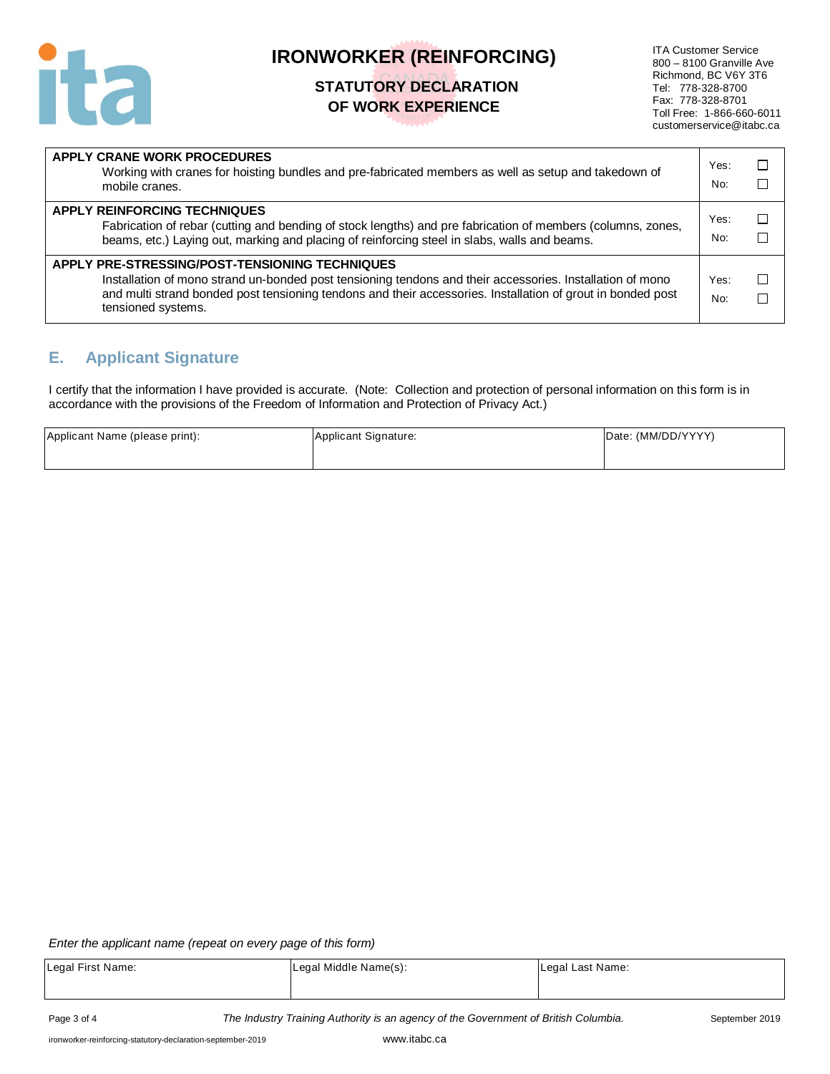

# **STATUTORY DECLARATION OF WORK EXPERIENCE**

ITA Customer Service 800 – 8100 Granville Ave Richmond, BC V6Y 3T6 Tel: 778-328-8700 Fax: 778-328-8701 Toll Free: 1-866-660-6011 customerservice@itabc.ca

| APPLY CRANE WORK PROCEDURES<br>Working with cranes for hoisting bundles and pre-fabricated members as well as setup and takedown of<br>mobile cranes.                                                                                                                                            | Yes:<br>No: |  |
|--------------------------------------------------------------------------------------------------------------------------------------------------------------------------------------------------------------------------------------------------------------------------------------------------|-------------|--|
| <b>APPLY REINFORCING TECHNIQUES</b><br>Fabrication of rebar (cutting and bending of stock lengths) and pre fabrication of members (columns, zones,<br>beams, etc.) Laying out, marking and placing of reinforcing steel in slabs, walls and beams.                                               | Yes:<br>No: |  |
| APPLY PRE-STRESSING/POST-TENSIONING TECHNIQUES<br>Installation of mono strand un-bonded post tensioning tendons and their accessories. Installation of mono<br>and multi strand bonded post tensioning tendons and their accessories. Installation of grout in bonded post<br>tensioned systems. | Yes:<br>No: |  |

### **E. Applicant Signature**

I certify that the information I have provided is accurate. (Note: Collection and protection of personal information on this form is in accordance with the provisions of the Freedom of Information and Protection of Privacy Act.)

| Applicant Name (please print): | Applicant Signature: | Date: (MM/DD/YYYY) |
|--------------------------------|----------------------|--------------------|
|                                |                      |                    |

#### *Enter the applicant name (repeat on every page of this form)*

| Legal First Name: | Legal Middle Name(s): | Legal Last Name: |
|-------------------|-----------------------|------------------|
|                   |                       |                  |
|                   |                       |                  |

Page 3 of 4 *The Industry Training Authority is an agency of the Government of British Columbia.* September 2019